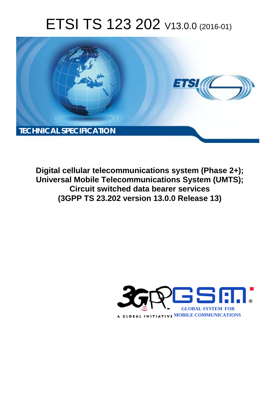# ETSI TS 123 202 V13.0.0 (2016-01)



**Digital cellular telecommunications system (Phase 2+); Universal Mobile Tel elecommunications System ( (UMTS); Circuit swit itched data bearer services (3GPP TS 23.2 .202 version 13.0.0 Release 13 13)** 

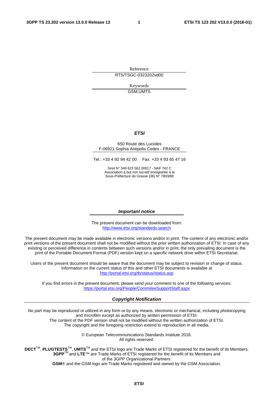Reference RTS/TSGC-0323202vd00

> Keywords GSM,UMTS

#### *ETSI*

#### 650 Route des Lucioles F-06921 Sophia Antipolis Cedex - FRANCE

Tel.: +33 4 92 94 42 00 Fax: +33 4 93 65 47 16

Siret N° 348 623 562 00017 - NAF 742 C Association à but non lucratif enregistrée à la Sous-Préfecture de Grasse (06) N° 7803/88

#### *Important notice*

The present document can be downloaded from: <http://www.etsi.org/standards-search>

The present document may be made available in electronic versions and/or in print. The content of any electronic and/or print versions of the present document shall not be modified without the prior written authorization of ETSI. In case of any existing or perceived difference in contents between such versions and/or in print, the only prevailing document is the print of the Portable Document Format (PDF) version kept on a specific network drive within ETSI Secretariat.

Users of the present document should be aware that the document may be subject to revision or change of status. Information on the current status of this and other ETSI documents is available at <http://portal.etsi.org/tb/status/status.asp>

If you find errors in the present document, please send your comment to one of the following services: <https://portal.etsi.org/People/CommiteeSupportStaff.aspx>

#### *Copyright Notification*

No part may be reproduced or utilized in any form or by any means, electronic or mechanical, including photocopying and microfilm except as authorized by written permission of ETSI.

The content of the PDF version shall not be modified without the written authorization of ETSI. The copyright and the foregoing restriction extend to reproduction in all media.

> © European Telecommunications Standards Institute 2016. All rights reserved.

**DECT**TM, **PLUGTESTS**TM, **UMTS**TM and the ETSI logo are Trade Marks of ETSI registered for the benefit of its Members. **3GPP**TM and **LTE**™ are Trade Marks of ETSI registered for the benefit of its Members and of the 3GPP Organizational Partners.

**GSM**® and the GSM logo are Trade Marks registered and owned by the GSM Association.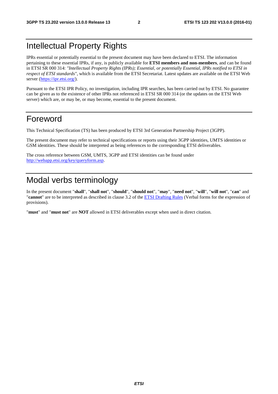### Intellectual Property Rights

IPRs essential or potentially essential to the present document may have been declared to ETSI. The information pertaining to these essential IPRs, if any, is publicly available for **ETSI members and non-members**, and can be found in ETSI SR 000 314: *"Intellectual Property Rights (IPRs); Essential, or potentially Essential, IPRs notified to ETSI in respect of ETSI standards"*, which is available from the ETSI Secretariat. Latest updates are available on the ETSI Web server [\(https://ipr.etsi.org/](https://ipr.etsi.org/)).

Pursuant to the ETSI IPR Policy, no investigation, including IPR searches, has been carried out by ETSI. No guarantee can be given as to the existence of other IPRs not referenced in ETSI SR 000 314 (or the updates on the ETSI Web server) which are, or may be, or may become, essential to the present document.

### Foreword

This Technical Specification (TS) has been produced by ETSI 3rd Generation Partnership Project (3GPP).

The present document may refer to technical specifications or reports using their 3GPP identities, UMTS identities or GSM identities. These should be interpreted as being references to the corresponding ETSI deliverables.

The cross reference between GSM, UMTS, 3GPP and ETSI identities can be found under [http://webapp.etsi.org/key/queryform.asp.](http://webapp.etsi.org/key/queryform.asp)

### Modal verbs terminology

In the present document "**shall**", "**shall not**", "**should**", "**should not**", "**may**", "**need not**", "**will**", "**will not**", "**can**" and "**cannot**" are to be interpreted as described in clause 3.2 of the [ETSI Drafting Rules](http://portal.etsi.org/Help/editHelp!/Howtostart/ETSIDraftingRules.aspx) (Verbal forms for the expression of provisions).

"**must**" and "**must not**" are **NOT** allowed in ETSI deliverables except when used in direct citation.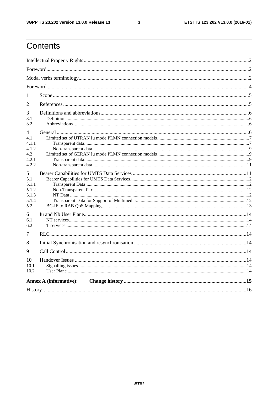$\mathbf{3}$ 

# Contents

| 1                                                   |                               |  |  |  |  |  |  |
|-----------------------------------------------------|-------------------------------|--|--|--|--|--|--|
| 2                                                   |                               |  |  |  |  |  |  |
| 3<br>3.1<br>3.2                                     |                               |  |  |  |  |  |  |
| 4<br>4.1<br>4.1.1<br>4.1.2<br>4.2<br>4.2.1<br>4.2.2 |                               |  |  |  |  |  |  |
| 5<br>5.1<br>5.1.1<br>5.1.2<br>5.1.3<br>5.1.4<br>5.2 |                               |  |  |  |  |  |  |
| 6<br>6.1<br>6.2<br>7                                |                               |  |  |  |  |  |  |
| 8                                                   |                               |  |  |  |  |  |  |
| 9                                                   |                               |  |  |  |  |  |  |
| 10<br>10.1<br>10.2                                  |                               |  |  |  |  |  |  |
|                                                     | <b>Annex A (informative):</b> |  |  |  |  |  |  |
|                                                     |                               |  |  |  |  |  |  |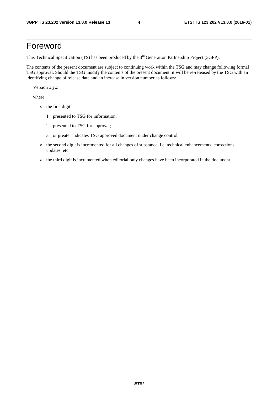### Foreword

This Technical Specification (TS) has been produced by the 3<sup>rd</sup> Generation Partnership Project (3GPP).

The contents of the present document are subject to continuing work within the TSG and may change following formal TSG approval. Should the TSG modify the contents of the present document, it will be re-released by the TSG with an identifying change of release date and an increase in version number as follows:

Version x.y.z

where:

- x the first digit:
	- 1 presented to TSG for information;
	- 2 presented to TSG for approval;
	- 3 or greater indicates TSG approved document under change control.
- y the second digit is incremented for all changes of substance, i.e. technical enhancements, corrections, updates, etc.
- z the third digit is incremented when editorial only changes have been incorporated in the document.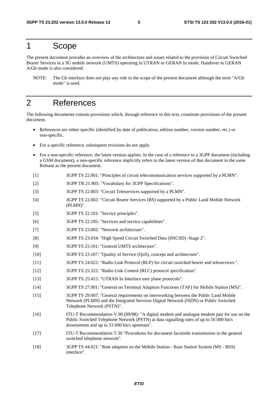### 1 Scope

The present document provides an overview of the architecture and issues related to the provision of Circuit Switched Bearer Services in a 3G mobile network (UMTS) operating in UTRAN or GERAN Iu mode. Handover to GERAN A/Gb mode is also considered.

NOTE: The Gb interface does not play any role in the scope of the present document although the term "A/Gb mode" is used.

### 2 References

The following documents contain provisions which, through reference in this text, constitute provisions of the present document.

- References are either specific (identified by date of publication, edition number, version number, etc.) or non-specific.
- For a specific reference, subsequent revisions do not apply.
- For a non-specific reference, the latest version applies. In the case of a reference to a 3GPP document (including a GSM document), a non-specific reference implicitly refers to the latest version of that document in the same Release as the present document.
- [1] 3GPP TS 22.001: "Principles of circuit telecommunication services supported by a PLMN".
- [2] 3GPP TR 21.905: "Vocabulary for 3GPP Specifications".
- [3] 3GPP TS 22.003: "Circuit Teleservices supported by a PLMN".
- [4] 3GPP TS 22.002: "Circuit Bearer Services (BS) supported by a Public Land Mobile Network (PLMN)".
- [5] 3GPP TS 22.101: "Service principles".
- [6] 3GPP TS 22.105: "Services and service capabilities".
- [7] 3GPP TS 23.002: "Network architecture".
- [8] 3GPP TS 23.034: "High Speed Circuit Switched Data (HSCSD) -Stage 2".
- [9] 3GPP TS 23.101: "General UMTS architecture".
- [10] 3GPP TS 23.107: "Quality of Service (QoS), concept and architecture".
- [11] 3GPP TS 24.022: "Radio Link Protocol (RLP) for circuit switched bearer and teleservices ".
- [12] 3GPP TS 25.322: "Radio Link Control (RLC) protocol specification".
- [13] 3GPP TS 25.415: "UTRAN Iu Interface user plane protocols".
- [14] 3GPP TS 27.001: "General on Terminal Adaption Functions (TAF) for Mobile Station (MS)".
- [15] 3GPP TS 29.007: "General requirements on interworking between the Public Land Mobile Network (PLMN) and the Integrated Services Digital Network (ISDN) or Public Switched Telephone Network (PSTN)".
- [16] ITU-T Recommendation V.90 (09/98): "A digital modem and analogue modem pair for use on the Public Switched Telephone Network (PSTN) at data signalling rates of up to 56 000 bit/s downstream and up to 33 600 bit/s upstream".
- [17] ITU-T Recommendation T.30 "Procedures for document facsimile transmission in the general switched telephone network".
- [18] 3GPP TS 44.021: "Rate adaption on the Mobile Station Base Station System (MS BSS) interface".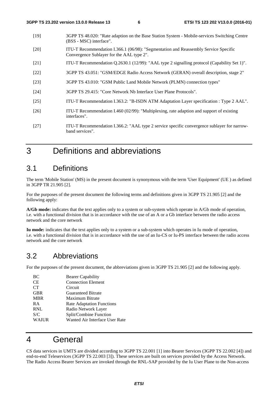- [19] 3GPP TS 48.020: "Rate adaption on the Base Station System Mobile-services Switching Centre (BSS - MSC) interface".
- [20] ITU-T Recommendation I.366.1 (06/98): "Segmentation and Reassembly Service Specific Convergence Sublayer for the AAL type 2".
- [21] ITU-T Recommendation Q.2630.1 (12/99): "AAL type 2 signalling protocol (Capability Set 1)".
- [22] 3GPP TS 43.051: "GSM/EDGE Radio Access Network (GERAN) overall description, stage 2"
- [23] 3GPP TS 43.010: "GSM Public Land Mobile Network (PLMN) connection types"
- [24] 3GPP TS 29.415: "Core Network Nb Interface User Plane Protocols".
- [25] ITU-T Recommendation I.363.2: "B-ISDN ATM Adaptation Layer specification : Type 2 AAL".
- [26] ITU-T Recommendation I.460 (02/99): "Multiplexing, rate adaption and support of existing interfaces".
- [27] ITU-T Recommendation I.366.2: "AAL type 2 service specific convergence sublayer for narrowband services".

### 3 Definitions and abbreviations

#### 3.1 Definitions

The term 'Mobile Station' (MS) in the present document is synonymous with the term 'User Equipment' (UE ) as defined in 3GPP TR 21.905 [2].

For the purposes of the present document the following terms and definitions given in 3GPP TS 21.905 [2] and the following apply:

**A/Gb mode:** indicates that the text applies only to a system or sub-system which operate in A/Gb mode of operation, i.e. with a functional division that is in accordance with the use of an A or a Gb interface between the radio access network and the core network

**Iu mode:** indicates that the text applies only to a system or a sub-system which operates in Iu mode of operation, i.e. with a functional division that is in accordance with the use of an Iu-CS or Iu-PS interface between the radio access network and the core network

#### 3.2 Abbreviations

For the purposes of the present document, the abbreviations given in 3GPP TS 21.905 [2] and the following apply.

| BC           | <b>Bearer Capability</b>         |
|--------------|----------------------------------|
| <b>CE</b>    | <b>Connection Element</b>        |
| <b>CT</b>    | Circuit                          |
| <b>GBR</b>   | <b>Guaranteed Bitrate</b>        |
| <b>MBR</b>   | <b>Maximum Bitrate</b>           |
| <b>RA</b>    | <b>Rate Adaptation Functions</b> |
| <b>RNL</b>   | Radio Network Layer              |
| S/C          | Split/Combine Function           |
| <b>WAIUR</b> | Wanted Air Interface User Rate   |

### 4 General

CS data services in UMTS are divided according to 3GPP TS 22.001 [1] into Bearer Services (3GPP TS 22.002 [4]) and end-to-end Teleservices (3GPP TS 22.003 [3]). These services are built on services provided by the Access Network. The Radio Access Bearer Services are invoked through the RNL-SAP provided by the Iu User Plane to the Non-access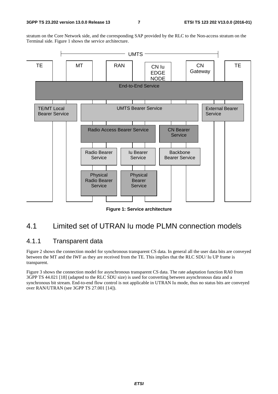stratum on the Core Network side, and the corresponding SAP provided by the RLC to the Non-access stratum on the Terminal side. Figure 1 shows the service architecture.



**Figure 1: Service architecture** 

### 4.1 Limited set of UTRAN Iu mode PLMN connection models

#### 4.1.1 Transparent data

Figure 2 shows the connection model for synchronous transparent CS data. In general all the user data bits are conveyed between the MT and the IWF as they are received from the TE. This implies that the RLC SDU/ Iu UP frame is transparent.

Figure 3 shows the connection model for asynchronous transparent CS data. The rate adaptation function RA0 from 3GPP TS 44.021 [18] (adapted to the RLC SDU size) is used for converting between asynchronous data and a synchronous bit stream. End-to-end flow control is not applicable in UTRAN Iu mode, thus no status bits are conveyed over RAN/UTRAN (see 3GPP TS 27.001 [14]).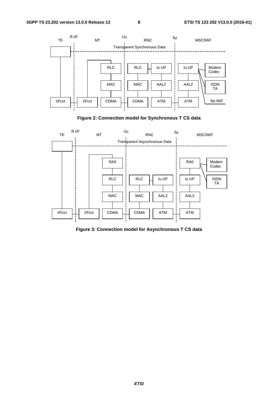





**Figure 3: Connection model for Asynchronous T CS data**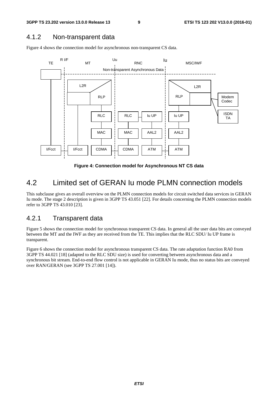#### 4.1.2 Non-transparent data

Figure 4 shows the connection model for asynchronous non-transparent CS data.



**Figure 4: Connection model for Asynchronous NT CS data** 

### 4.2 Limited set of GERAN Iu mode PLMN connection models

This subclause gives an overall overview on the PLMN connection models for circuit switched data services in GERAN Iu mode. The stage 2 description is given in 3GPP TS 43.051 [22]. For details concerning the PLMN connection models refer to 3GPP TS 43.010 [23].

#### 4.2.1 Transparent data

Figure 5 shows the connection model for synchronous transparent CS data. In general all the user data bits are conveyed between the MT and the IWF as they are received from the TE. This implies that the RLC SDU/ Iu UP frame is transparent.

Figure 6 shows the connection model for asynchronous transparent CS data. The rate adaptation function RA0 from 3GPP TS 44.021 [18] (adapted to the RLC SDU size) is used for converting between asynchronous data and a synchronous bit stream. End-to-end flow control is not applicable in GERAN Iu mode, thus no status bits are conveyed over RAN/GERAN (see 3GPP TS 27.001 [14]).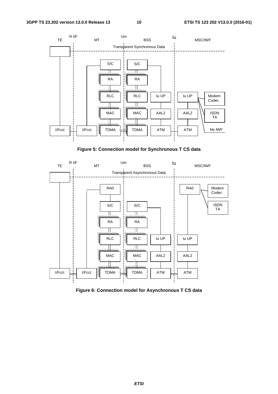

**Figure 5: Connection model for Synchronous T CS data** 



**Figure 6: Connection model for Asynchronous T CS data**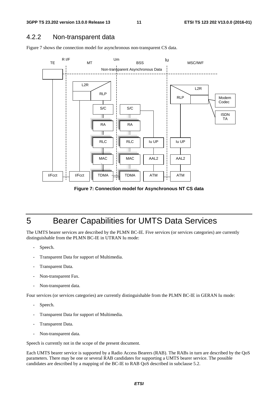#### 4.2.2 Non-transparent data

Figure 7 shows the connection model for asynchronous non-transparent CS data.



**Figure 7: Connection model for Asynchronous NT CS data** 

### 5 Bearer Capabilities for UMTS Data Services

The UMTS bearer services are described by the PLMN BC-IE. Five services (or services categories) are currently distinguishable from the PLMN BC-IE in UTRAN Iu mode:

- Speech.
- Transparent Data for support of Multimedia.
- Transparent Data.
- Non-transparent Fax.
- Non-transparent data.

Four services (or services categories) are currently distinguishable from the PLMN BC-IE in GERAN Iu mode:

- Speech.
- Transparent Data for support of Multimedia.
- Transparent Data.
- Non-transparent data.

Speech is currently not in the scope of the present document.

Each UMTS bearer service is supported by a Radio Access Bearers (RAB). The RABs in turn are described by the QoS parameters. There may be one or several RAB candidates for supporting a UMTS bearer service. The possible candidates are described by a mapping of the BC-IE to RAB QoS described in subclause 5.2.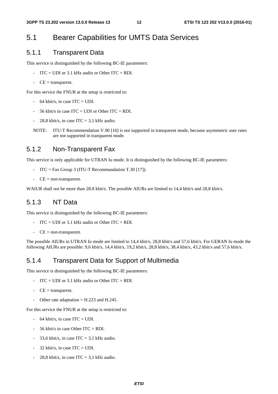### 5.1 Bearer Capabilities for UMTS Data Services

#### 5.1.1 Transparent Data

This service is distinguished by the following BC-IE parameters:

- $ITC = UDI$  or 3.1 kHz audio or Other  $ITC = RDI$ .
- $-CE =$  transparent.

For this service the FNUR at the setup is restricted to:

- $-64$  kbit/s, in case ITC = UDI.
- $-$  56 kbit/s in case ITC = UDI or Other ITC = RDI.
- 28,8 kbit/s, in case ITC = 3,1 kHz audio.
- NOTE: ITU-T Recommendation V.90 [16] is not supported in transparent mode, because asymmetric user rates are not supported in transparent mode.

#### 5.1.2 Non-Transparent Fax

This service is only applicable for UTRAN Iu mode. It is distinguished by the following BC-IE parameters:

- ITC = Fax Group 3 (ITU-T Recommandation T.30 [17]).
- $-CE = non-transport.$

WAIUR shall not be more than 28.8 kbit/s. The possible AIURs are limited to 14,4 kbit/s and 28,8 kbit/s.

#### 5.1.3 NT Data

This service is distinguished by the following BC-IE parameters:

- ITC = UDI or 3.1 kHz audio or Other ITC = RDI.
- $-CE = non-transport.$

The possible AIURs in UTRAN Iu mode are limited to 14,4 kbit/s, 28,8 kbit/s and 57,6 kbit/s. For GERAN Iu mode the following AIURs are possible: 9,6 kbit/s, 14,4 kbit/s, 19,2 kbit/s, 28,8 kbit/s, 38,4 kbit/s, 43,2 kbit/s and 57,6 kbit/s.

#### 5.1.4 Transparent Data for Support of Multimedia

This service is distinguished by the following BC-IE parameters:

- $\text{ITC} = \text{UDI}$  or 3.1 kHz audio or Other ITC = RDI.
- $CE =$  transparent.
- Other rate adaptation  $=$  H.223 and H.245.

For this service the FNUR at the setup is restricted to:

- $-64$  kbit/s, in case ITC = UDI.
- 56 kbit/s in case Other ITC = RDI.
- 33.6 kbit/s, in case  $ITC = 3.1$  kHz audio.
- $32$  kbit/s, in case ITC = UDI.
- 28,8 kbit/s, in case  $ITC = 3.1$  kHz audio.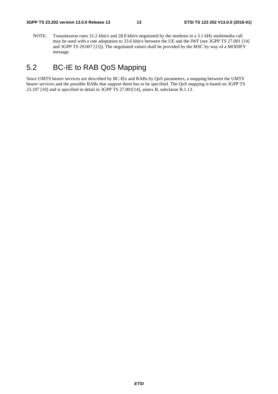NOTE: Transmission rates 31.2 kbit/s and 28.8 kbit/s negotiated by the modems in a 3.1 kHz multimedia call may be used with a rate adaptation to 33.6 kbit/s between the UE and the IWF (see 3GPP TS 27.001 [14] and 3GPP TS 29.007 [15]). The negotiated values shall be provided by the MSC by way of a MODIFY message.

### 5.2 BC-IE to RAB QoS Mapping

Since UMTS bearer services are described by BC-IEs and RABs by QoS parameters, a mapping between the UMTS bearer services and the possible RABs that support them has to be specified. The QoS mapping is based on 3GPP TS 23.107 [10] and is specified in detail in 3GPP TS 27.001[14], annex B, subclause B.1.13.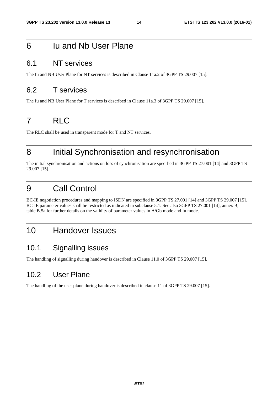### 6 Iu and Nb User Plane

### 6.1 NT services

The Iu and NB User Plane for NT services is described in Clause 11a.2 of 3GPP TS 29.007 [15].

### 6.2 T services

The Iu and NB User Plane for T services is described in Clause 11a.3 of 3GPP TS 29.007 [15].

# 7 RLC

The RLC shall be used in transparent mode for T and NT services.

### 8 Initial Synchronisation and resynchronisation

The initial synchronisation and actions on loss of synchronisation are specified in 3GPP TS 27.001 [14] and 3GPP TS 29.007 [15].

### 9 Call Control

BC-IE negotiation procedures and mapping to ISDN are specified in 3GPP TS 27.001 [14] and 3GPP TS 29.007 [15]. BC-IE parameter values shall be restricted as indicated in subclause 5.1. See also 3GPP TS 27.001 [14], annex B, table B.5a for further details on the validity of parameter values in A/Gb mode and Iu mode.

### 10 Handover Issues

#### 10.1 Signalling issues

The handling of signalling during handover is described in Clause 11.0 of 3GPP TS 29.007 [15].

### 10.2 User Plane

The handling of the user plane during handover is described in clause 11 of 3GPP TS 29.007 [15].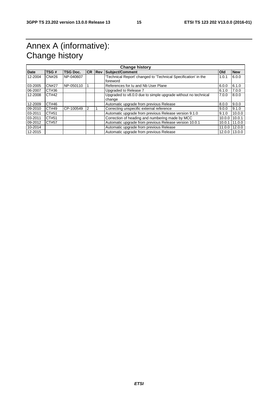## Annex A (informative): Change history

| <b>Change history</b> |              |                 |   |               |                                                                |            |            |  |  |
|-----------------------|--------------|-----------------|---|---------------|----------------------------------------------------------------|------------|------------|--|--|
| <b>Date</b>           | TSG#         | <b>TSG Doc.</b> |   | <b>CR Rev</b> | <b>Subject/Comment</b>                                         | <b>Old</b> | <b>New</b> |  |  |
| 12-2004               | CN#26        | NP-040607       |   |               | 'Technical Report' changed to 'Technical Specification' in the | 1.0.1      | 6.0.0      |  |  |
|                       |              |                 |   |               | foreword                                                       |            |            |  |  |
| 03-2005               | <b>CN#27</b> | NP-050110       |   |               | References for lu and Nb User Plane                            | 6.0.0      | 6.1.0      |  |  |
| 06-2007               | CT#36        |                 |   |               | Upgraded to Release 7                                          | 6.1.0      | 7.0.0      |  |  |
| 12-2008               | CT#42        |                 |   |               | Upgraded to v8.0.0 due to simple upgrade without no technical  | 7.0.0      | 8.0.0      |  |  |
|                       |              |                 |   |               | change                                                         |            |            |  |  |
| 12-2009               | CT#46        |                 |   |               | Automatic upgrade from previous Release                        | 8.0.0      | 9.0.0      |  |  |
| 09-2010               | CT#49        | CP-100549       | 2 |               | Correcting unspecific external reference                       | 9.0.0      | 9.1.0      |  |  |
| 03-2011               | CT#51        |                 |   |               | Automatic upgrade from previous Release version 9.1.0          | 9.1.0      | 10.0.0     |  |  |
| 03-2011               | CT#51        |                 |   |               | Correction of heading and numbering made by MCC                | 10.0.0     | 10.0.1     |  |  |
| 09-2012               | CT#57        |                 |   |               | Automatic upgrade from previous Release version 10.0.1         | 10.0.1     | 11.0.0     |  |  |
| 10-2014               |              |                 |   |               | Automatic upgrade from previous Release                        | 11.0.0     | 12.0.0     |  |  |
| 12-2015               |              |                 |   |               | Automatic upgrade from previous Release                        | 12.0.0     | 13.0.0     |  |  |